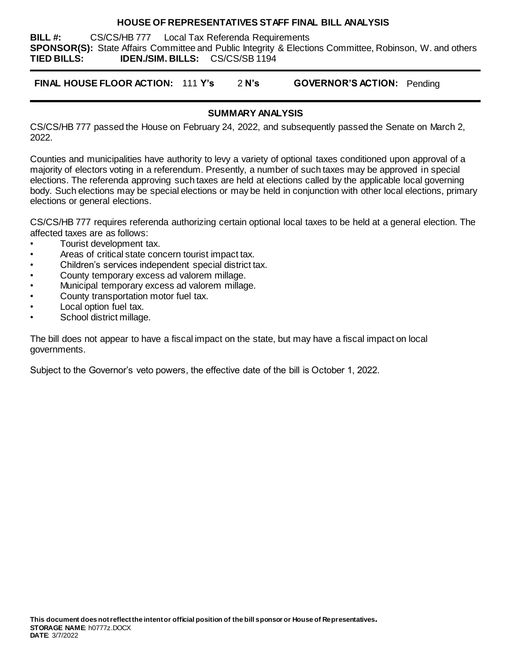## **HOUSE OF REPRESENTATIVES STAFF FINAL BILL ANALYSIS**

**BILL #:** CS/CS/HB 777 Local Tax Referenda Requirements **SPONSOR(S):** State Affairs Committee and Public Integrity & Elections Committee, Robinson, W. and others **TIED BILLS: IDEN./SIM. BILLS:** CS/CS/SB 1194

**FINAL HOUSE FLOOR ACTION:** 111 **Y's** 2 **N's GOVERNOR'S ACTION:** Pending

# **SUMMARY ANALYSIS**

CS/CS/HB 777 passed the House on February 24, 2022, and subsequently passed the Senate on March 2, 2022.

Counties and municipalities have authority to levy a variety of optional taxes conditioned upon approval of a majority of electors voting in a referendum. Presently, a number of such taxes may be approved in special elections. The referenda approving such taxes are held at elections called by the applicable local governing body. Such elections may be special elections or may be held in conjunction with other local elections, primary elections or general elections.

CS/CS/HB 777 requires referenda authorizing certain optional local taxes to be held at a general election. The affected taxes are as follows:

- Tourist development tax.
- Areas of critical state concern tourist impact tax.
- Children's services independent special district tax.
- County temporary excess ad valorem millage.
- Municipal temporary excess ad valorem millage.
- County transportation motor fuel tax.
- Local option fuel tax.
- School district millage.

The bill does not appear to have a fiscal impact on the state, but may have a fiscal impact on local governments.

Subject to the Governor's veto powers, the effective date of the bill is October 1, 2022.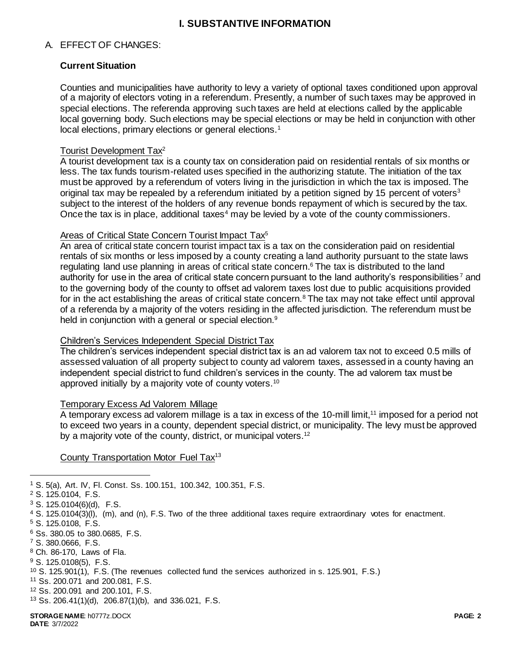## **I. SUBSTANTIVE INFORMATION**

#### A. EFFECT OF CHANGES:

## **Current Situation**

Counties and municipalities have authority to levy a variety of optional taxes conditioned upon approval of a majority of electors voting in a referendum. Presently, a number of such taxes may be approved in special elections. The referenda approving such taxes are held at elections called by the applicable local governing body. Such elections may be special elections or may be held in conjunction with other local elections, primary elections or general elections.<sup>1</sup>

## Tourist Development Tax<sup>2</sup>

A tourist development tax is a county tax on consideration paid on residential rentals of six months or less. The tax funds tourism-related uses specified in the authorizing statute. The initiation of the tax must be approved by a referendum of voters living in the jurisdiction in which the tax is imposed. The original tax may be repealed by a referendum initiated by a petition signed by 15 percent of voters<sup>3</sup> subject to the interest of the holders of any revenue bonds repayment of which is secured by the tax. Once the tax is in place, additional taxes<sup>4</sup> may be levied by a vote of the county commissioners.

## Areas of Critical State Concern Tourist Impact Tax<sup>5</sup>

An area of critical state concern tourist impact tax is a tax on the consideration paid on residential rentals of six months or less imposed by a county creating a land authority pursuant to the state laws regulating land use planning in areas of critical state concern. <sup>6</sup> The tax is distributed to the land authority for use in the area of critical state concern pursuant to the land authority's responsibilities <sup>7</sup> and to the governing body of the county to offset ad valorem taxes lost due to public acquisitions provided for in the act establishing the areas of critical state concern.<sup>8</sup> The tax may not take effect until approval of a referenda by a majority of the voters residing in the affected jurisdiction. The referendum must be held in conjunction with a general or special election.<sup>9</sup>

#### Children's Services Independent Special District Tax

The children's services independent special district tax is an ad valorem tax not to exceed 0.5 mills of assessed valuation of all property subject to county ad valorem taxes, assessed in a county having an independent special district to fund children's services in the county. The ad valorem tax must be approved initially by a majority vote of county voters.<sup>10</sup>

#### Temporary Excess Ad Valorem Millage

A temporary excess ad valorem millage is a tax in excess of the 10-mill limit,<sup>11</sup> imposed for a period not to exceed two years in a county, dependent special district, or municipality. The levy must be approved by a majority vote of the county, district, or municipal voters.<sup>12</sup>

County Transportation Motor Fuel Tax<sup>13</sup>

 $\overline{a}$ 

<sup>1</sup> S. 5(a), Art. IV, Fl. Const. Ss. 100.151, 100.342, 100.351, F.S.

<sup>2</sup> S. 125.0104, F.S.

 $3$  S. 125.0104(6)(d), F.S.

<sup>4</sup> S. 125.0104(3)(l), (m), and (n), F.S. Two of the three additional taxes require extraordinary votes for enactment.

<sup>5</sup> S. 125.0108, F.S.

<sup>6</sup> Ss. 380.05 to 380.0685, F.S.

<sup>7</sup> S. 380.0666, F.S.

<sup>8</sup> Ch. 86-170, Laws of Fla.

<sup>9</sup> S. 125.0108(5), F.S.

<sup>10</sup> S. 125.901(1), F.S. (The revenues collected fund the services authorized in s. 125.901, F.S.)

<sup>11</sup> Ss. 200.071 and 200.081, F.S.

<sup>12</sup> Ss. 200.091 and 200.101, F.S.

<sup>13</sup> Ss. 206.41(1)(d), 206.87(1)(b), and 336.021, F.S.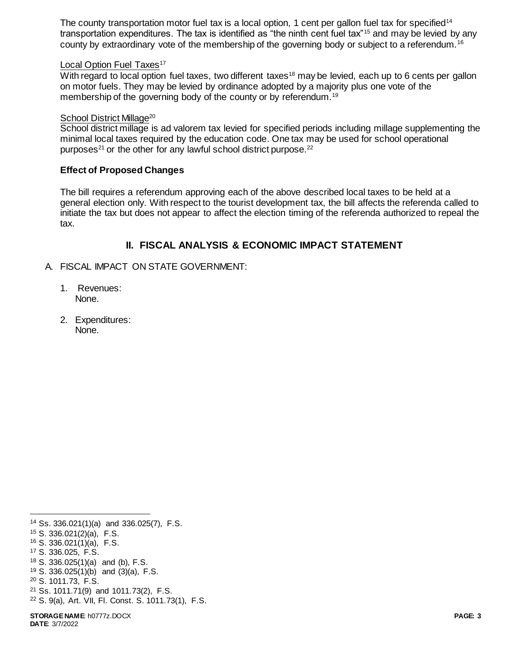The county transportation motor fuel tax is a local option, 1 cent per gallon fuel tax for specified<sup>14</sup> transportation expenditures. The tax is identified as "the ninth cent fuel tax"<sup>15</sup> and may be levied by any county by extraordinary vote of the membership of the governing body or subject to a referendum.<sup>16</sup>

## Local Option Fuel Taxes<sup>17</sup>

With regard to local option fuel taxes, two different taxes<sup>18</sup> may be levied, each up to 6 cents per gallon on motor fuels. They may be levied by ordinance adopted by a majority plus one vote of the membership of the governing body of the county or by referendum.<sup>19</sup>

## School District Millage<sup>20</sup>

School district millage is ad valorem tax levied for specified periods including millage supplementing the minimal local taxes required by the education code. One tax may be used for school operational purposes<sup>21</sup> or the other for any lawful school district purpose.<sup>22</sup>

## **Effect of Proposed Changes**

The bill requires a referendum approving each of the above described local taxes to be held at a general election only. With respect to the tourist development tax, the bill affects the referenda called to initiate the tax but does not appear to affect the election timing of the referenda authorized to repeal the tax.

# **II. FISCAL ANALYSIS & ECONOMIC IMPACT STATEMENT**

- A. FISCAL IMPACT ON STATE GOVERNMENT:
	- 1. Revenues: None.
	- 2. Expenditures: None.

l Ss. 336.021(1)(a) and 336.025(7), F.S. S. 336.021(2)(a), F.S. S. 336.021(1)(a), F.S. S. 336.025, F.S. S. 336.025(1)(a) and (b), F.S. S. 336.025(1)(b) and (3)(a), F.S. S. 1011.73, F.S. Ss. 1011.71(9) and 1011.73(2), F.S. S. 9(a), Art. VII, Fl. Const. S. 1011.73(1), F.S.